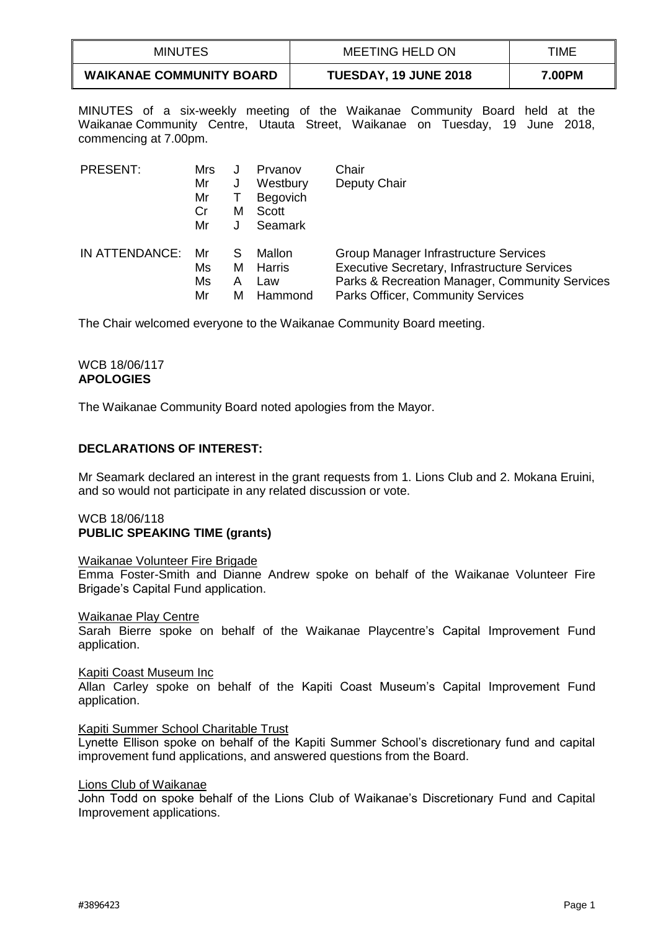| <b>MINUTES</b>                  | MEETING HELD ON       | TIME   |
|---------------------------------|-----------------------|--------|
| <b>WAIKANAE COMMUNITY BOARD</b> | TUESDAY, 19 JUNE 2018 | 7.00PM |

MINUTES of a six-weekly meeting of the Waikanae Community Board held at the Waikanae Community Centre, Utauta Street, Waikanae on Tuesday, 19 June 2018, commencing at 7.00pm.

| PRESENT:       | Mrs |   | Prvanov        | Chair                                               |
|----------------|-----|---|----------------|-----------------------------------------------------|
|                | Mr  | J | Westbury       | Deputy Chair                                        |
|                | Mr  |   | Begovich       |                                                     |
|                | Cr  | М | Scott          |                                                     |
|                | Mr  |   | <b>Seamark</b> |                                                     |
| IN ATTENDANCE: | Mr  | S | Mallon         | Group Manager Infrastructure Services               |
|                | Ms  | м | Harris         | <b>Executive Secretary, Infrastructure Services</b> |
|                | Ms  | А | Law            | Parks & Recreation Manager, Community Services      |
|                | Mr  | м | Hammond        | <b>Parks Officer, Community Services</b>            |

The Chair welcomed everyone to the Waikanae Community Board meeting.

### WCB 18/06/117 **APOLOGIES**

The Waikanae Community Board noted apologies from the Mayor.

# **DECLARATIONS OF INTEREST:**

Mr Seamark declared an interest in the grant requests from 1. Lions Club and 2. Mokana Eruini, and so would not participate in any related discussion or vote.

### WCB 18/06/118 **PUBLIC SPEAKING TIME (grants)**

#### Waikanae Volunteer Fire Brigade

Emma Foster-Smith and Dianne Andrew spoke on behalf of the Waikanae Volunteer Fire Brigade's Capital Fund application.

#### Waikanae Play Centre

Sarah Bierre spoke on behalf of the Waikanae Playcentre's Capital Improvement Fund application.

### Kapiti Coast Museum Inc

Allan Carley spoke on behalf of the Kapiti Coast Museum's Capital Improvement Fund application.

### Kapiti Summer School Charitable Trust

Lynette Ellison spoke on behalf of the Kapiti Summer School's discretionary fund and capital improvement fund applications, and answered questions from the Board.

#### Lions Club of Waikanae

John Todd on spoke behalf of the Lions Club of Waikanae's Discretionary Fund and Capital Improvement applications.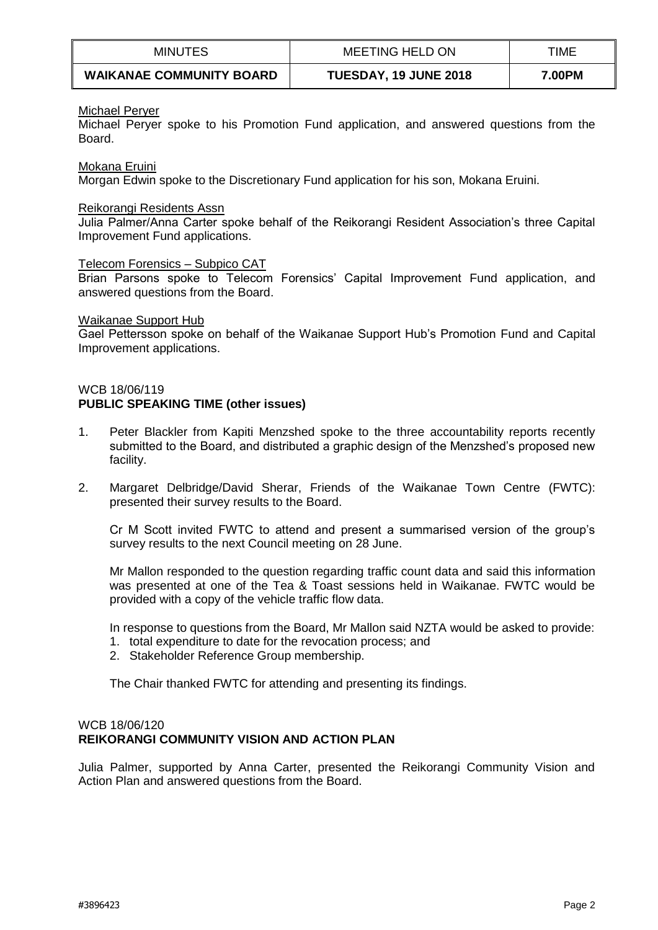| <b>MINUTES</b>                  | <b>MEETING HELD ON</b>       | TIME   |
|---------------------------------|------------------------------|--------|
| <b>WAIKANAE COMMUNITY BOARD</b> | <b>TUESDAY, 19 JUNE 2018</b> | 7.00PM |

### Michael Peryer

Michael Peryer spoke to his Promotion Fund application, and answered questions from the Board.

Mokana Eruini

Morgan Edwin spoke to the Discretionary Fund application for his son, Mokana Eruini.

#### Reikorangi Residents Assn

Julia Palmer/Anna Carter spoke behalf of the Reikorangi Resident Association's three Capital Improvement Fund applications.

#### Telecom Forensics – Subpico CAT

Brian Parsons spoke to Telecom Forensics' Capital Improvement Fund application, and answered questions from the Board.

#### Waikanae Support Hub

Gael Pettersson spoke on behalf of the Waikanae Support Hub's Promotion Fund and Capital Improvement applications.

### WCB 18/06/119

# **PUBLIC SPEAKING TIME (other issues)**

- 1. Peter Blackler from Kapiti Menzshed spoke to the three accountability reports recently submitted to the Board, and distributed a graphic design of the Menzshed's proposed new facility.
- 2. Margaret Delbridge/David Sherar, Friends of the Waikanae Town Centre (FWTC): presented their survey results to the Board.

Cr M Scott invited FWTC to attend and present a summarised version of the group's survey results to the next Council meeting on 28 June.

Mr Mallon responded to the question regarding traffic count data and said this information was presented at one of the Tea & Toast sessions held in Waikanae. FWTC would be provided with a copy of the vehicle traffic flow data.

In response to questions from the Board, Mr Mallon said NZTA would be asked to provide:

- 1. total expenditure to date for the revocation process; and
- 2. Stakeholder Reference Group membership.

The Chair thanked FWTC for attending and presenting its findings.

### WCB 18/06/120 **REIKORANGI COMMUNITY VISION AND ACTION PLAN**

Julia Palmer, supported by Anna Carter, presented the Reikorangi Community Vision and Action Plan and answered questions from the Board.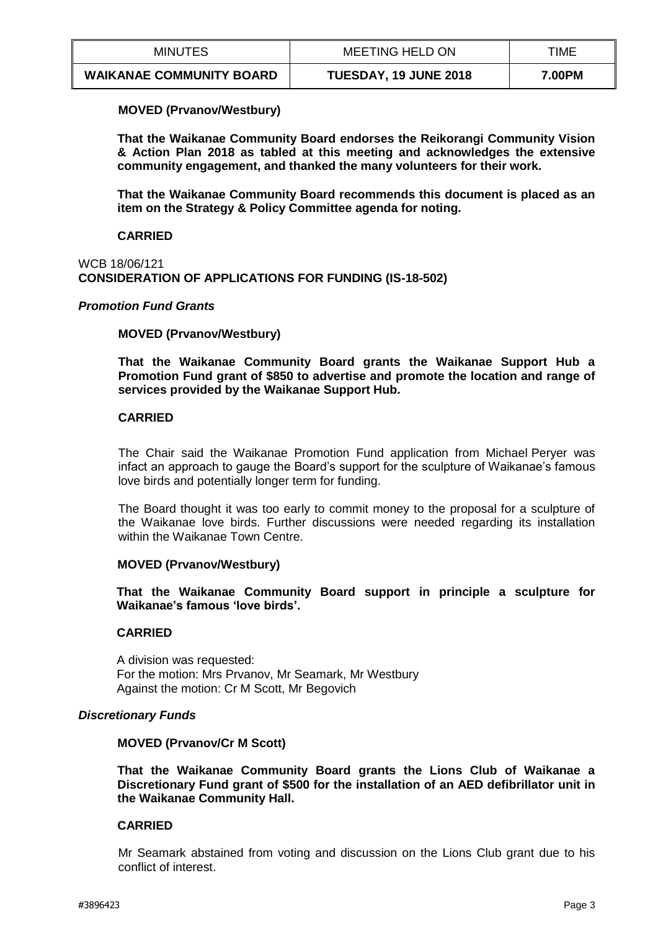| <b>MINUTES</b>                  | MEETING HELD ON              | TIME   |
|---------------------------------|------------------------------|--------|
| <b>WAIKANAE COMMUNITY BOARD</b> | <b>TUESDAY, 19 JUNE 2018</b> | 7.00PM |

## **MOVED (Prvanov/Westbury)**

**That the Waikanae Community Board endorses the Reikorangi Community Vision & Action Plan 2018 as tabled at this meeting and acknowledges the extensive community engagement, and thanked the many volunteers for their work.**

**That the Waikanae Community Board recommends this document is placed as an item on the Strategy & Policy Committee agenda for noting.** 

### **CARRIED**

### WCB 18/06/121 **CONSIDERATION OF APPLICATIONS FOR FUNDING (IS-18-502)**

## *Promotion Fund Grants*

## **MOVED (Prvanov/Westbury)**

**That the Waikanae Community Board grants the Waikanae Support Hub a Promotion Fund grant of \$850 to advertise and promote the location and range of services provided by the Waikanae Support Hub.** 

## **CARRIED**

The Chair said the Waikanae Promotion Fund application from Michael Peryer was infact an approach to gauge the Board's support for the sculpture of Waikanae's famous love birds and potentially longer term for funding.

The Board thought it was too early to commit money to the proposal for a sculpture of the Waikanae love birds. Further discussions were needed regarding its installation within the Waikanae Town Centre.

### **MOVED (Prvanov/Westbury)**

**That the Waikanae Community Board support in principle a sculpture for Waikanae's famous 'love birds'.**

### **CARRIED**

A division was requested: For the motion: Mrs Prvanov, Mr Seamark, Mr Westbury Against the motion: Cr M Scott, Mr Begovich

### *Discretionary Funds*

### **MOVED (Prvanov/Cr M Scott)**

**That the Waikanae Community Board grants the Lions Club of Waikanae a Discretionary Fund grant of \$500 for the installation of an AED defibrillator unit in the Waikanae Community Hall.**

# **CARRIED**

Mr Seamark abstained from voting and discussion on the Lions Club grant due to his conflict of interest.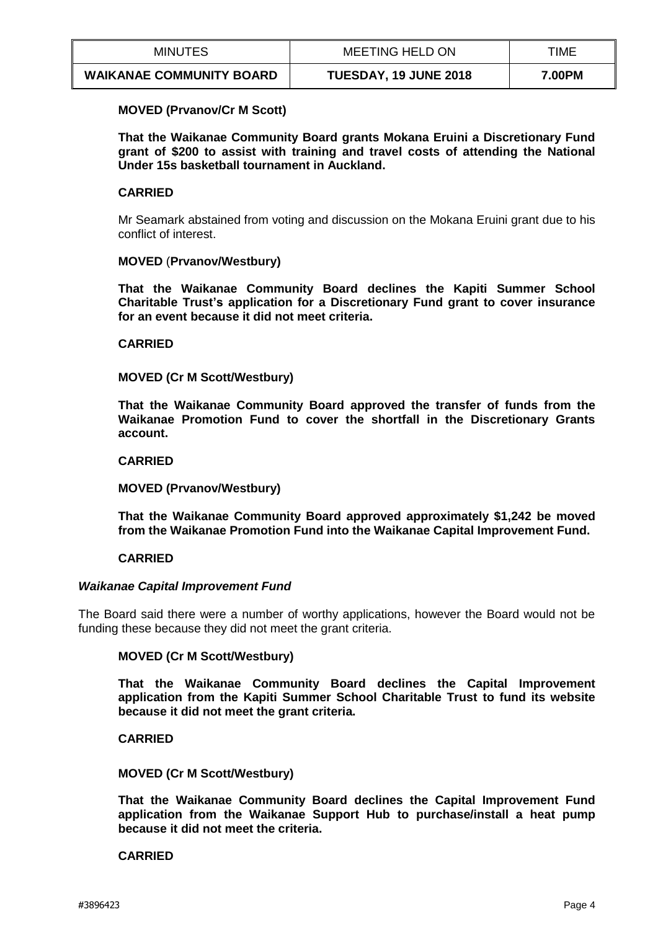| <b>MINUTES</b>                  | MEETING HELD ON              | TIME   |
|---------------------------------|------------------------------|--------|
| <b>WAIKANAE COMMUNITY BOARD</b> | <b>TUESDAY, 19 JUNE 2018</b> | 7.00PM |

### **MOVED (Prvanov/Cr M Scott)**

**That the Waikanae Community Board grants Mokana Eruini a Discretionary Fund grant of \$200 to assist with training and travel costs of attending the National Under 15s basketball tournament in Auckland.**

### **CARRIED**

Mr Seamark abstained from voting and discussion on the Mokana Eruini grant due to his conflict of interest.

### **MOVED** (**Prvanov/Westbury)**

**That the Waikanae Community Board declines the Kapiti Summer School Charitable Trust's application for a Discretionary Fund grant to cover insurance for an event because it did not meet criteria.**

## **CARRIED**

## **MOVED (Cr M Scott/Westbury)**

**That the Waikanae Community Board approved the transfer of funds from the Waikanae Promotion Fund to cover the shortfall in the Discretionary Grants account.** 

### **CARRIED**

### **MOVED (Prvanov/Westbury)**

**That the Waikanae Community Board approved approximately \$1,242 be moved from the Waikanae Promotion Fund into the Waikanae Capital Improvement Fund.** 

### **CARRIED**

### *Waikanae Capital Improvement Fund*

The Board said there were a number of worthy applications, however the Board would not be funding these because they did not meet the grant criteria.

# **MOVED (Cr M Scott/Westbury)**

**That the Waikanae Community Board declines the Capital Improvement application from the Kapiti Summer School Charitable Trust to fund its website because it did not meet the grant criteria.**

**CARRIED**

**MOVED (Cr M Scott/Westbury)**

**That the Waikanae Community Board declines the Capital Improvement Fund application from the Waikanae Support Hub to purchase/install a heat pump because it did not meet the criteria.**

### **CARRIED**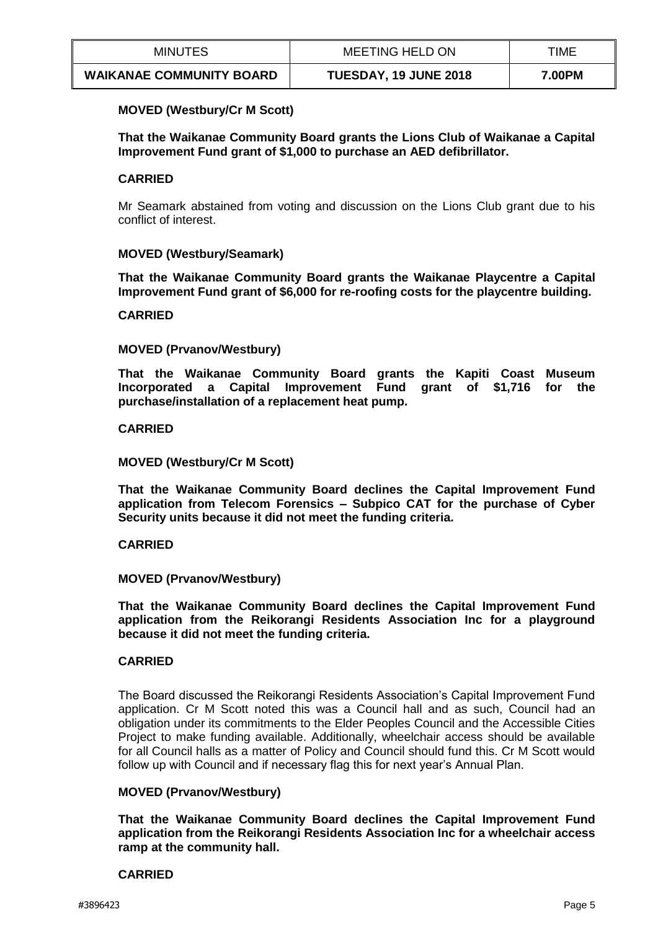| <b>MINUTES</b>                  | MEETING HELD ON              | TIME   |
|---------------------------------|------------------------------|--------|
| <b>WAIKANAE COMMUNITY BOARD</b> | <b>TUESDAY, 19 JUNE 2018</b> | 7.00PM |

### **MOVED (Westbury/Cr M Scott)**

**That the Waikanae Community Board grants the Lions Club of Waikanae a Capital Improvement Fund grant of \$1,000 to purchase an AED defibrillator.**

## **CARRIED**

Mr Seamark abstained from voting and discussion on the Lions Club grant due to his conflict of interest.

## **MOVED (Westbury/Seamark)**

**That the Waikanae Community Board grants the Waikanae Playcentre a Capital Improvement Fund grant of \$6,000 for re-roofing costs for the playcentre building.** 

### **CARRIED**

## **MOVED (Prvanov/Westbury)**

**That the Waikanae Community Board grants the Kapiti Coast Museum Incorporated a Capital Improvement Fund grant of \$1,716 for the purchase/installation of a replacement heat pump.**

### **CARRIED**

## **MOVED (Westbury/Cr M Scott)**

**That the Waikanae Community Board declines the Capital Improvement Fund application from Telecom Forensics – Subpico CAT for the purchase of Cyber Security units because it did not meet the funding criteria.** 

### **CARRIED**

### **MOVED (Prvanov/Westbury)**

**That the Waikanae Community Board declines the Capital Improvement Fund application from the Reikorangi Residents Association Inc for a playground because it did not meet the funding criteria.**

### **CARRIED**

The Board discussed the Reikorangi Residents Association's Capital Improvement Fund application. Cr M Scott noted this was a Council hall and as such, Council had an obligation under its commitments to the Elder Peoples Council and the Accessible Cities Project to make funding available. Additionally, wheelchair access should be available for all Council halls as a matter of Policy and Council should fund this. Cr M Scott would follow up with Council and if necessary flag this for next year's Annual Plan.

# **MOVED (Prvanov/Westbury)**

**That the Waikanae Community Board declines the Capital Improvement Fund application from the Reikorangi Residents Association Inc for a wheelchair access ramp at the community hall.** 

### **CARRIED**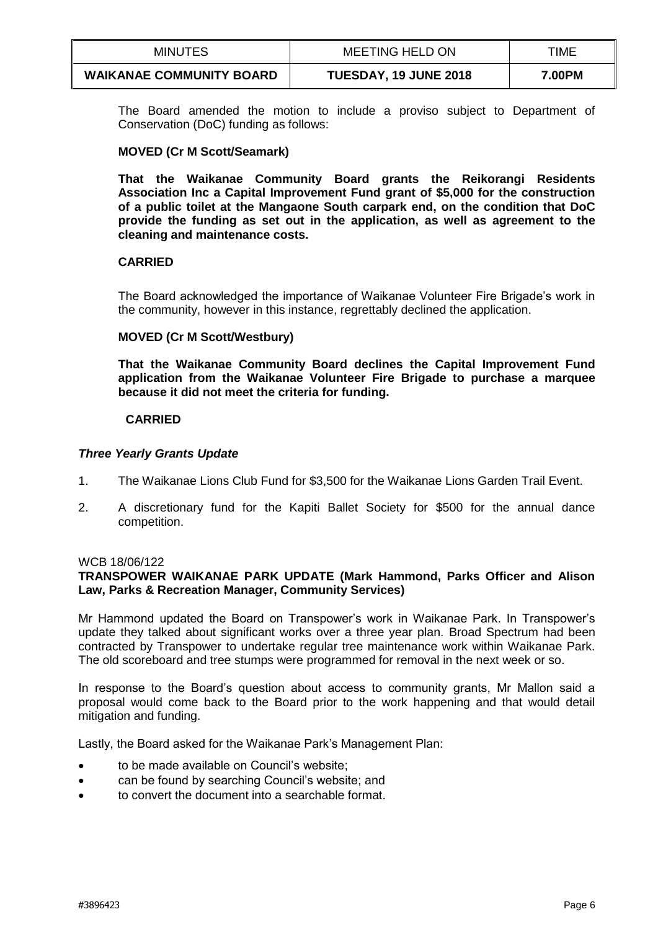| <b>MINUTES</b>                  | <b>MEETING HELD ON</b>       | TIME   |
|---------------------------------|------------------------------|--------|
| <b>WAIKANAE COMMUNITY BOARD</b> | <b>TUESDAY, 19 JUNE 2018</b> | 7.00PM |

The Board amended the motion to include a proviso subject to Department of Conservation (DoC) funding as follows:

### **MOVED (Cr M Scott/Seamark)**

**That the Waikanae Community Board grants the Reikorangi Residents Association Inc a Capital Improvement Fund grant of \$5,000 for the construction of a public toilet at the Mangaone South carpark end, on the condition that DoC provide the funding as set out in the application, as well as agreement to the cleaning and maintenance costs.**

# **CARRIED**

The Board acknowledged the importance of Waikanae Volunteer Fire Brigade's work in the community, however in this instance, regrettably declined the application.

# **MOVED (Cr M Scott/Westbury)**

**That the Waikanae Community Board declines the Capital Improvement Fund application from the Waikanae Volunteer Fire Brigade to purchase a marquee because it did not meet the criteria for funding.**

## **CARRIED**

### *Three Yearly Grants Update*

- 1. The Waikanae Lions Club Fund for \$3,500 for the Waikanae Lions Garden Trail Event.
- 2. A discretionary fund for the Kapiti Ballet Society for \$500 for the annual dance competition.

### WCB 18/06/122

# **TRANSPOWER WAIKANAE PARK UPDATE (Mark Hammond, Parks Officer and Alison Law, Parks & Recreation Manager, Community Services)**

Mr Hammond updated the Board on Transpower's work in Waikanae Park. In Transpower's update they talked about significant works over a three year plan. Broad Spectrum had been contracted by Transpower to undertake regular tree maintenance work within Waikanae Park. The old scoreboard and tree stumps were programmed for removal in the next week or so.

In response to the Board's question about access to community grants, Mr Mallon said a proposal would come back to the Board prior to the work happening and that would detail mitigation and funding.

Lastly, the Board asked for the Waikanae Park's Management Plan:

- to be made available on Council's website;
- can be found by searching Council's website; and
- to convert the document into a searchable format.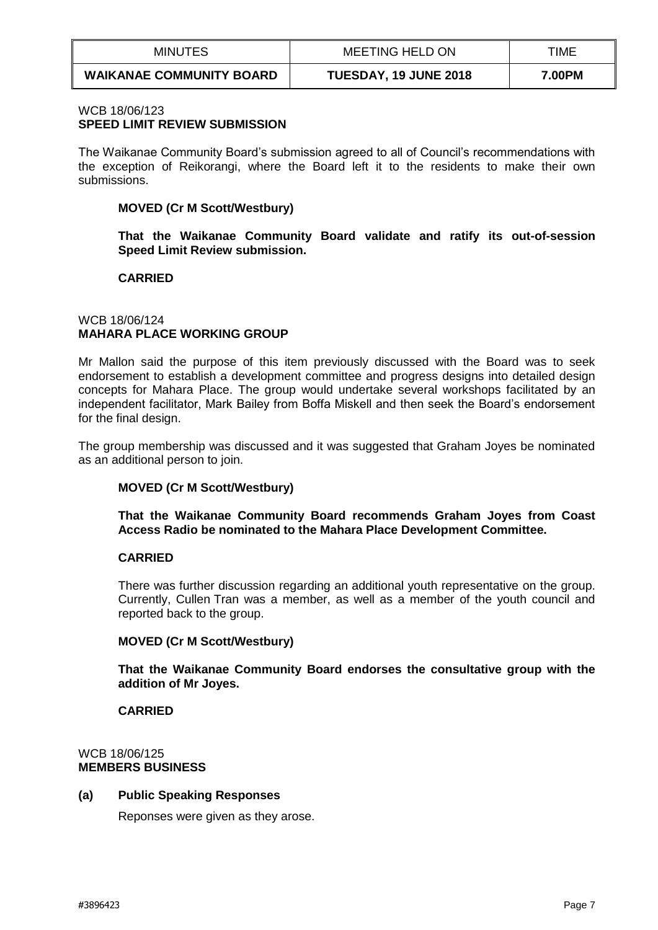| <b>MINUTES</b>                  | MEETING HELD ON       | TIME   |
|---------------------------------|-----------------------|--------|
| <b>WAIKANAE COMMUNITY BOARD</b> | TUESDAY, 19 JUNE 2018 | 7.00PM |

### WCB 18/06/123 **SPEED LIMIT REVIEW SUBMISSION**

The Waikanae Community Board's submission agreed to all of Council's recommendations with the exception of Reikorangi, where the Board left it to the residents to make their own submissions.

## **MOVED (Cr M Scott/Westbury)**

**That the Waikanae Community Board validate and ratify its out-of-session Speed Limit Review submission.**

## **CARRIED**

## WCB 18/06/124 **MAHARA PLACE WORKING GROUP**

Mr Mallon said the purpose of this item previously discussed with the Board was to seek endorsement to establish a development committee and progress designs into detailed design concepts for Mahara Place. The group would undertake several workshops facilitated by an independent facilitator, Mark Bailey from Boffa Miskell and then seek the Board's endorsement for the final design.

The group membership was discussed and it was suggested that Graham Joyes be nominated as an additional person to join.

# **MOVED (Cr M Scott/Westbury)**

**That the Waikanae Community Board recommends Graham Joyes from Coast Access Radio be nominated to the Mahara Place Development Committee.** 

# **CARRIED**

There was further discussion regarding an additional youth representative on the group. Currently, Cullen Tran was a member, as well as a member of the youth council and reported back to the group.

# **MOVED (Cr M Scott/Westbury)**

**That the Waikanae Community Board endorses the consultative group with the addition of Mr Joyes.** 

### **CARRIED**

### WCB 18/06/125 **MEMBERS BUSINESS**

### **(a) Public Speaking Responses**

Reponses were given as they arose.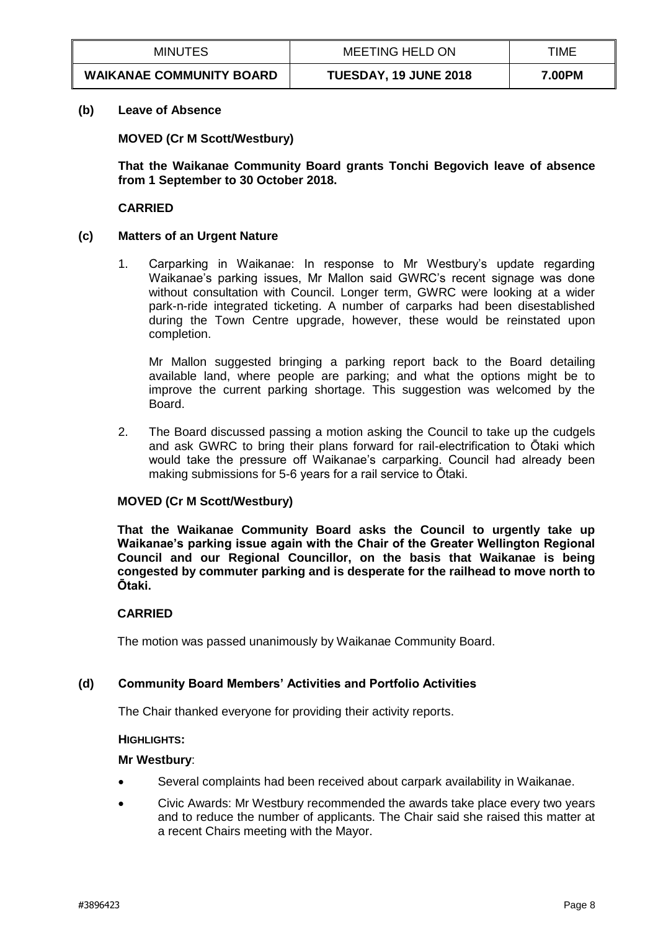| <b>MINUTES</b>                  | MEETING HELD ON       | TIME   |
|---------------------------------|-----------------------|--------|
| <b>WAIKANAE COMMUNITY BOARD</b> | TUESDAY, 19 JUNE 2018 | 7.00PM |

#### **(b) Leave of Absence**

**MOVED (Cr M Scott/Westbury)**

**That the Waikanae Community Board grants Tonchi Begovich leave of absence from 1 September to 30 October 2018.** 

#### **CARRIED**

#### **(c) Matters of an Urgent Nature**

1. Carparking in Waikanae: In response to Mr Westbury's update regarding Waikanae's parking issues, Mr Mallon said GWRC's recent signage was done without consultation with Council. Longer term, GWRC were looking at a wider park-n-ride integrated ticketing. A number of carparks had been disestablished during the Town Centre upgrade, however, these would be reinstated upon completion.

Mr Mallon suggested bringing a parking report back to the Board detailing available land, where people are parking; and what the options might be to improve the current parking shortage. This suggestion was welcomed by the Board.

2. The Board discussed passing a motion asking the Council to take up the cudgels and ask GWRC to bring their plans forward for rail-electrification to Ōtaki which would take the pressure off Waikanae's carparking. Council had already been making submissions for 5-6 years for a rail service to Ōtaki.

### **MOVED (Cr M Scott/Westbury)**

**That the Waikanae Community Board asks the Council to urgently take up Waikanae's parking issue again with the Chair of the Greater Wellington Regional Council and our Regional Councillor, on the basis that Waikanae is being congested by commuter parking and is desperate for the railhead to move north to Ōtaki.** 

### **CARRIED**

The motion was passed unanimously by Waikanae Community Board.

## **(d) Community Board Members' Activities and Portfolio Activities**

The Chair thanked everyone for providing their activity reports.

#### **HIGHLIGHTS:**

#### **Mr Westbury**:

- Several complaints had been received about carpark availability in Waikanae.
- Civic Awards: Mr Westbury recommended the awards take place every two years and to reduce the number of applicants. The Chair said she raised this matter at a recent Chairs meeting with the Mayor.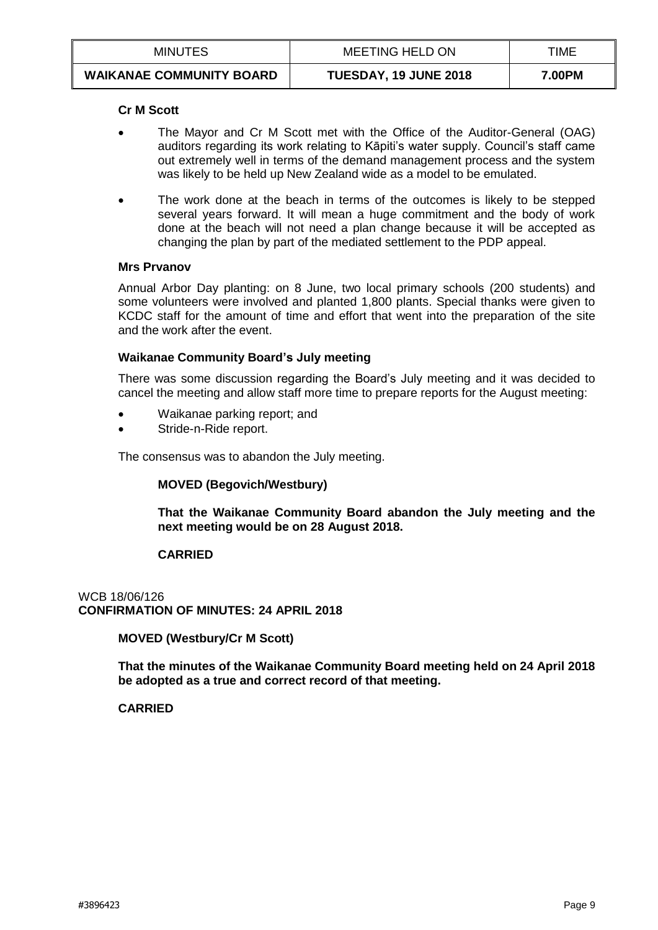| <b>MINUTES</b>                  | MEETING HELD ON              | TIME   |
|---------------------------------|------------------------------|--------|
| <b>WAIKANAE COMMUNITY BOARD</b> | <b>TUESDAY, 19 JUNE 2018</b> | 7.00PM |

#### **Cr M Scott**

- The Mayor and Cr M Scott met with the Office of the Auditor-General (OAG) auditors regarding its work relating to Kāpiti's water supply. Council's staff came out extremely well in terms of the demand management process and the system was likely to be held up New Zealand wide as a model to be emulated.
- The work done at the beach in terms of the outcomes is likely to be stepped several years forward. It will mean a huge commitment and the body of work done at the beach will not need a plan change because it will be accepted as changing the plan by part of the mediated settlement to the PDP appeal.

#### **Mrs Prvanov**

Annual Arbor Day planting: on 8 June, two local primary schools (200 students) and some volunteers were involved and planted 1,800 plants. Special thanks were given to KCDC staff for the amount of time and effort that went into the preparation of the site and the work after the event.

## **Waikanae Community Board's July meeting**

There was some discussion regarding the Board's July meeting and it was decided to cancel the meeting and allow staff more time to prepare reports for the August meeting:

- Waikanae parking report; and
- Stride-n-Ride report.

The consensus was to abandon the July meeting.

### **MOVED (Begovich/Westbury)**

**That the Waikanae Community Board abandon the July meeting and the next meeting would be on 28 August 2018.** 

### **CARRIED**

WCB 18/06/126 **CONFIRMATION OF MINUTES: 24 APRIL 2018**

**MOVED (Westbury/Cr M Scott)**

**That the minutes of the Waikanae Community Board meeting held on 24 April 2018 be adopted as a true and correct record of that meeting.** 

# **CARRIED**